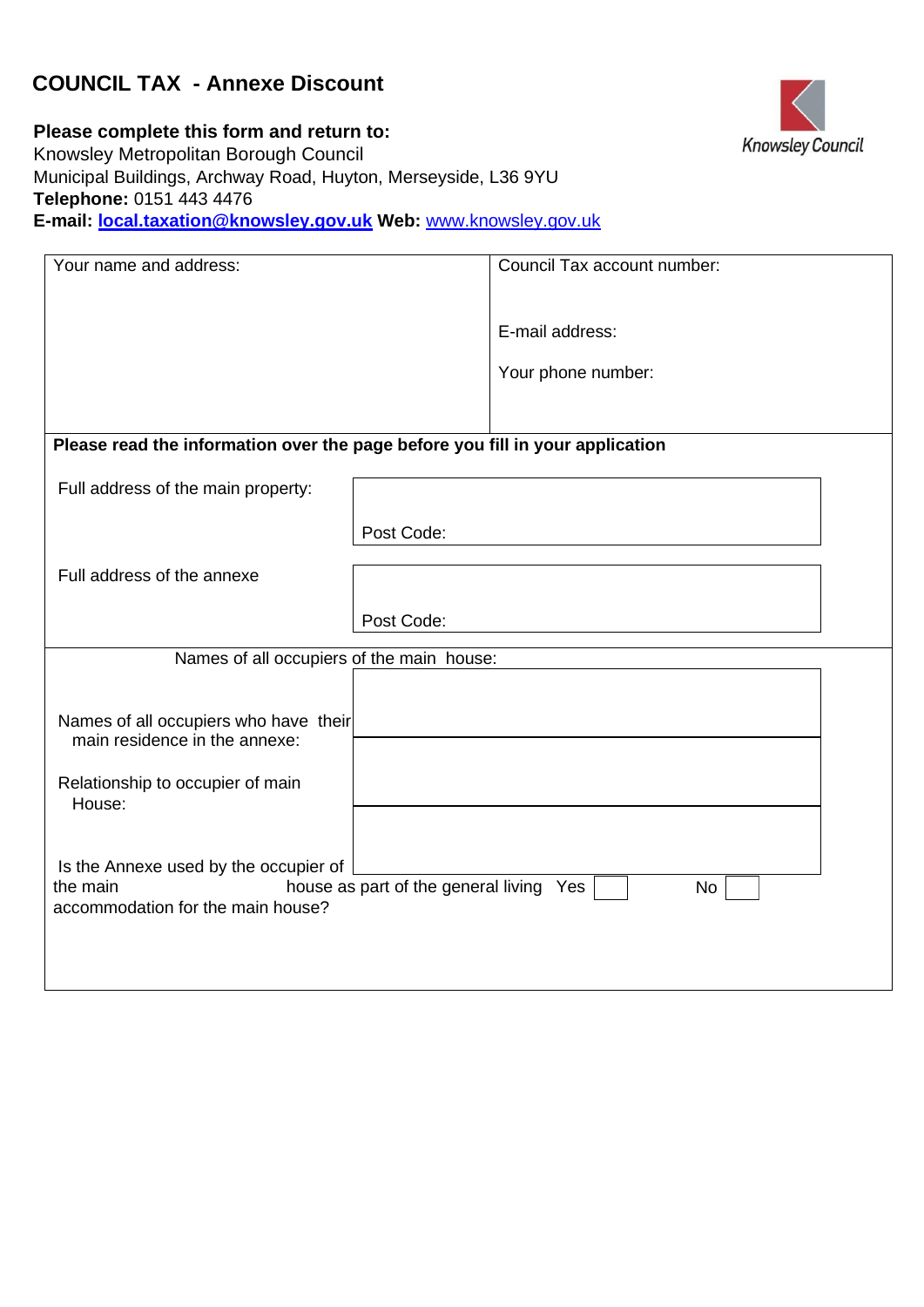# **COUNCIL TAX - Annexe Discount**



**Please complete this form and return to:**  Knowsley Metropolitan Borough Council Municipal Buildings, Archway Road, Huyton, Merseyside, L36 9YU **Telephone:** 0151 443 4476 **E-mail: local.taxation@knowsley.gov.uk Web:** [www.knowsley.gov.uk](http://www.knowsley.gov.uk/) 

| Your name and address:                                                                         |            | Council Tax account number: |
|------------------------------------------------------------------------------------------------|------------|-----------------------------|
|                                                                                                |            |                             |
|                                                                                                |            | E-mail address:             |
|                                                                                                |            | Your phone number:          |
|                                                                                                |            |                             |
| Please read the information over the page before you fill in your application                  |            |                             |
| Full address of the main property:                                                             |            |                             |
|                                                                                                | Post Code: |                             |
| Full address of the annexe                                                                     |            |                             |
|                                                                                                | Post Code: |                             |
| Names of all occupiers of the main house:                                                      |            |                             |
|                                                                                                |            |                             |
| Names of all occupiers who have their<br>main residence in the annexe:                         |            |                             |
|                                                                                                |            |                             |
| Relationship to occupier of main<br>House:                                                     |            |                             |
|                                                                                                |            |                             |
| Is the Annexe used by the occupier of                                                          |            |                             |
| the main<br>house as part of the general living Yes<br>No<br>accommodation for the main house? |            |                             |
|                                                                                                |            |                             |
|                                                                                                |            |                             |